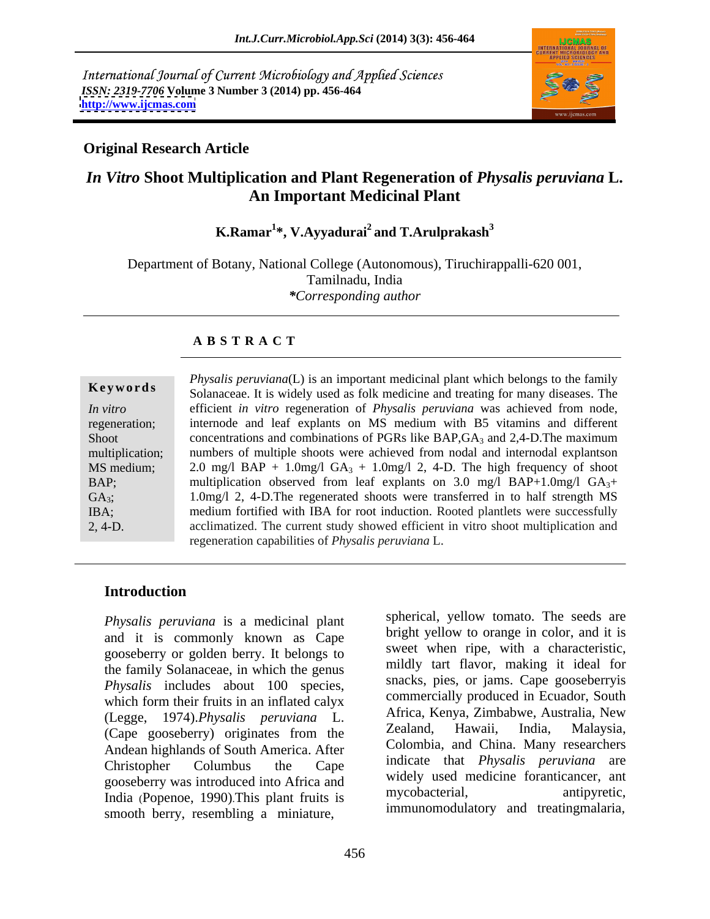International Journal of Current Microbiology and Applied Sciences *ISSN: 2319-7706* **Volume 3 Number 3 (2014) pp. 456-464 <http://www.ijcmas.com>**



# **Original Research Article**

# *In Vitro* **Shoot Multiplication and Plant Regeneration of** *Physalis peruviana* **L. An Important Medicinal Plant**

#### **K.Ramar<sup>1</sup> \*, V.Ayyadurai<sup>2</sup> and T.Arulprakash3**

Department of Botany, National College (Autonomous), Tiruchirappalli-620 001, Tamilnadu, India *\*Corresponding author* 

## **A B S T R A C T**

| Keywords<br>Solanaceae. It is widely used as folk medicine and treating for many diseases. The<br>efficient in vitro regeneration of <i>Physalis peruviana</i> was achieved from node,<br>In vitro<br>internode and leaf explants on MS medium with B5 vitamins and different<br>regeneration<br>concentrations and combinations of PGRs like BAP, $GA_3$ and 2,4-D. The maximum<br>Shoot<br>numbers of multiple shoots were achieved from nodal and internodal explantson<br>multiplication;<br>MS medium<br>2.0 mg/l BAP + 1.0mg/l GA <sub>3</sub> + 1.0mg/l 2, 4-D. The high frequency of shoot<br>BAP;<br>multiplication observed from leaf explants on 3.0 mg/l BAP+1.0mg/l $GA_{3+}$ |
|--------------------------------------------------------------------------------------------------------------------------------------------------------------------------------------------------------------------------------------------------------------------------------------------------------------------------------------------------------------------------------------------------------------------------------------------------------------------------------------------------------------------------------------------------------------------------------------------------------------------------------------------------------------------------------------------|
|                                                                                                                                                                                                                                                                                                                                                                                                                                                                                                                                                                                                                                                                                            |
|                                                                                                                                                                                                                                                                                                                                                                                                                                                                                                                                                                                                                                                                                            |
|                                                                                                                                                                                                                                                                                                                                                                                                                                                                                                                                                                                                                                                                                            |
|                                                                                                                                                                                                                                                                                                                                                                                                                                                                                                                                                                                                                                                                                            |
|                                                                                                                                                                                                                                                                                                                                                                                                                                                                                                                                                                                                                                                                                            |
|                                                                                                                                                                                                                                                                                                                                                                                                                                                                                                                                                                                                                                                                                            |
|                                                                                                                                                                                                                                                                                                                                                                                                                                                                                                                                                                                                                                                                                            |
| 1.0mg/l 2, 4-D. The regenerated shoots were transferred in to half strength MS<br>$GA_3;$                                                                                                                                                                                                                                                                                                                                                                                                                                                                                                                                                                                                  |
| medium fortified with IBA for root induction. Rooted plantlets were successfully<br>IBA;                                                                                                                                                                                                                                                                                                                                                                                                                                                                                                                                                                                                   |
| $2, 4-D.$<br>acclimatized. The current study showed efficient in vitro shoot multiplication and                                                                                                                                                                                                                                                                                                                                                                                                                                                                                                                                                                                            |
| regeneration capabilities of <i>Physalis peruviana</i> L.                                                                                                                                                                                                                                                                                                                                                                                                                                                                                                                                                                                                                                  |

## **Introduction**

*Physalis peruviana* is a medicinal plant and it is commonly known as Cape gooseberry or golden berry. It belongs to the family Solanaceae, in which the genus *Physalis* includes about 100 species, which form their fruits in an inflated calyx (Legge, 1974).*Physalis peruviana* L. (Cape gooseberry) originates from the Andean highlands of South America. After Christopher Columbus the Cape indicate that *Physalis peruviana* are gooseberry was introduced into Africa and<br>India algorithm is a mycobacterial, and mycobacterial antipyretic, India (Popenoe, 1990).This plant fruits is smooth berry, resembling a miniature,

spherical, yellow tomato. The seeds are bright yellow to orange in color, and it is sweet when ripe, with a characteristic, mildly tart flavor, making it ideal for snacks, pies, or jams. Cape gooseberryis commercially produced in Ecuador, South Africa, Kenya, Zimbabwe, Australia, New Zealand, Hawaii, India, Malaysia, Colombia, and China. Many researchers widely used medicine foranticancer, ant mycobacterial, antipyretic, immunomodulatory and treatingmalaria,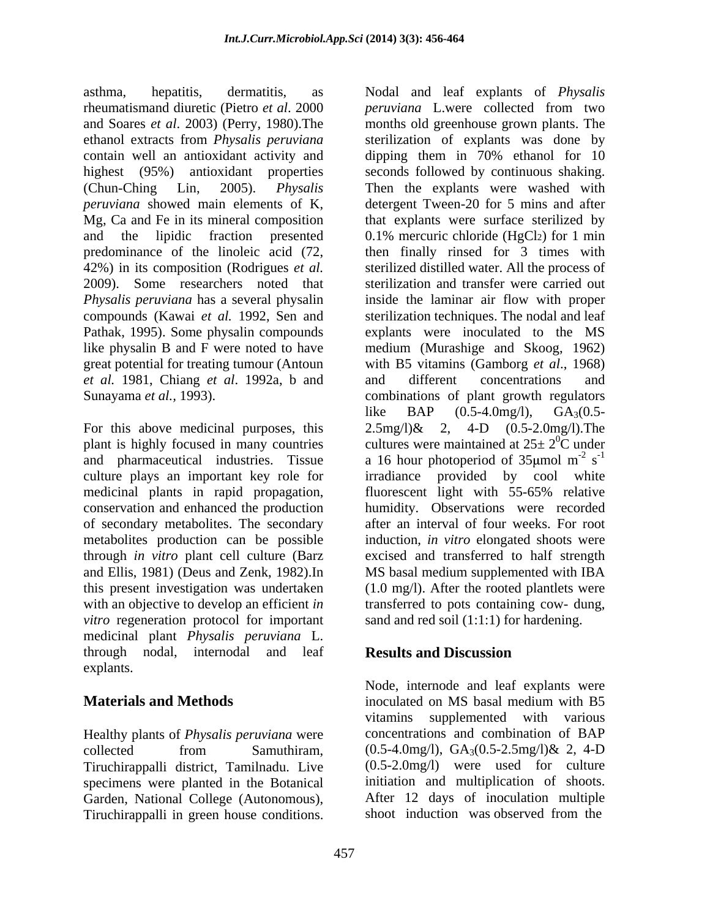asthma, hepatitis, dermatitis, as Nodal and leaf explants of *Physalis* rheumatismand diuretic (Pietro *et al*. 2000 contain well an antioxidant activity and dipping them in 70% ethanol for 10 Mg, Ca and Fe in its mineral composition 42%) in its composition (Rodrigues *et al.* Pathak, 1995). Some physalin compounds great potential for treating tumour (Antoun *et al.* 1981, Chiang *et al.* 1992a, b and and different concentrations and

For this above medicinal purposes, this  $2.5 \text{mg}/\lambda$  2, 4-D  $(0.5-2.0 \text{mg}/\lambda)$ . The plant is highly focused in many countries this present investigation was undertaken *vitro* regeneration protocol for important medicinal plant *Physalis peruviana* L. through nodal, internodal and leaf **Results and Discussion** explants.

Healthy plants of *Physalis peruviana* were concentrations and combination of BAP collected from Samuthiram.  $(0.5-4.0mg/l)$ ,  $GA_3(0.5-2.5mg/l)$ & 2, 4-D Garden, National College (Autonomous),

and Soares *et al*. 2003) (Perry, 1980).The months old greenhouse grown plants. The ethanol extracts from *Physalis peruviana* sterilization of explants was done by highest (95%) antioxidant properties seconds followed by continuous shaking. (Chun-Ching Lin, 2005). *Physalis*  Then the explants were washed with *peruviana* showed main elements of K, detergent Tween-20 for 5 mins and after and the lipidic fraction presented 0.1% mercuric chloride (HgCl2) for 1 min predominance of the linoleic acid (72, then finally rinsed for 3 times with 2009). Some researchers noted that sterilization and transfer were carried out *Physalis peruviana* has a several physalin inside the laminar air flow with proper compounds (Kawai *et al.* 1992, Sen and sterilization techniques. The nodal and leaf like physalin B and F were noted to have medium (Murashige and Skoog, 1962) Sunayama *et al.,* 1993). combinations of plant growth regulators and pharmaceutical industries. Tissue a 16 hour photoperiod of  $35 \mu$ mol m<sup>-2</sup> s<sup>-1</sup> culture plays an important key role for irradiance provided by cool white medicinal plants in rapid propagation, fluorescent light with 55-65% relative<br>conservation and enhanced the production humidity. Observations were recorded of secondary metabolites. The secondary after an interval of four weeks. For root metabolites production can be possible induction, *in vitro* elongated shoots were through *in vitro* plant cell culture (Barz excised and transferred to half strength and Ellis, 1981) (Deus and Zenk, 1982).In MS basal medium supplemented with IBA with an objective to develop an efficient *in* transferred to pots containing cow- dung, stehmal, 1995, Some physile conditions. As the base of *Physile* in the state of *Physile* in the state of *Physile* and and state of *Physile* and and state of *a COSO* (New 1, 1890) (New 1, 1890) (New 1, 1990) (New 1, *peruviana* L.were collected from two dipping them in 70% ethanol for 10 that explants were surface sterilized by sterilized distilled water. All the process of explants were inoculated to the MS with B5 vitamins (Gamborg *et al*., 1968) and different concentrations and like BAP  $(0.5{\text -}4.0\text{mg/l})$ , GA<sub>3</sub> $(0.5{\text -}$  $2.5 \text{mg/l}\& 2, 4-D (0.5-2.0 \text{mg/l}).$  The cultures were maintained at  $25\pm 2^0C$  under  ${}^{0}C$  under  $-2$   $-1$  $\mathrm{s}^{-1}$ -1 fluorescent light with 55-65% relative humidity. Observations were recorded (1.0 mg/l). After the rooted plantlets were sand and red soil (1:1:1) for hardening.

# **Results and Discussion**

**Materials and Methods State Equation MS** inoculated on MS basal medium with B5 collected from Samuthiram,  $(0.5-4.0mg/l)$ ,  $GA_3(0.5-2.5mg/l)$ & 2, 4-D Tiruchirappalli district, Tamilnadu. Live (0.5-2.0mg/l) were used for culture specimens were planted in the Botanical initiation and multiplication of shoots. Node, internode and leaf explants were inoculated on MS basal medium with B5 vitamins supplemented with various concentrations and combination of BAP  $(0.5-4.0 \text{mg/l})$ ,  $GA_3(0.5-2.5 \text{mg/l})$ & 2, 4-D After 12 days of inoculation multiple shoot induction was observed from the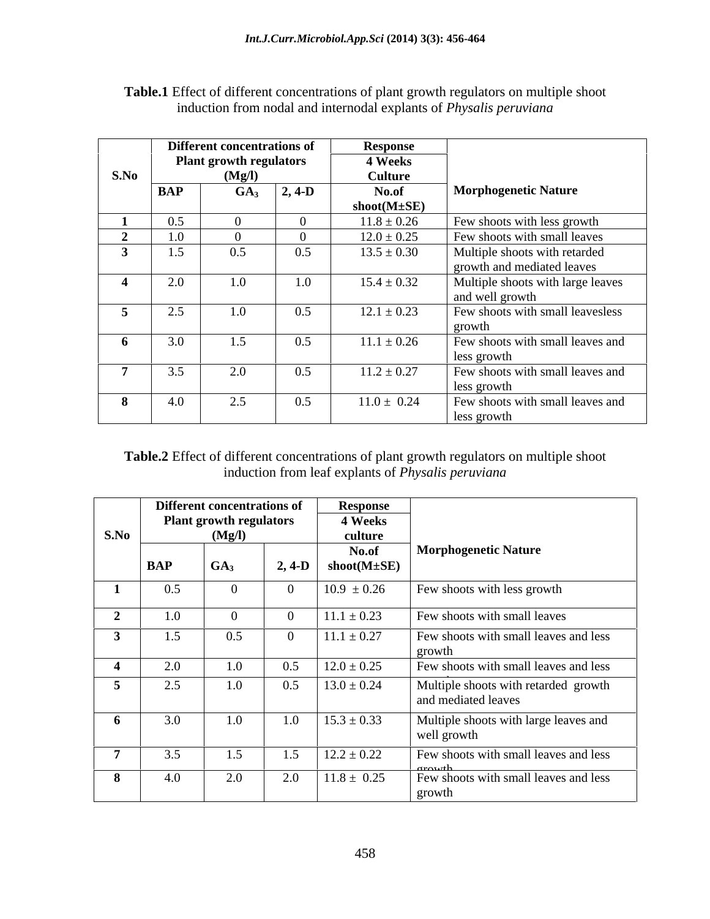|                          |                                | <b>Different concentrations of</b> |          | <b>Response</b>                              |                                   |
|--------------------------|--------------------------------|------------------------------------|----------|----------------------------------------------|-----------------------------------|
|                          | <b>Plant growth regulators</b> |                                    |          | <b>4 Weeks</b>                               |                                   |
| S.No                     |                                | (Mg/l)                             |          | <b>Culture</b>                               |                                   |
|                          | BAP                            | GA <sub>3</sub>                    | $2, 4-D$ | No.of                                        | <b>Morphogenetic Nature</b>       |
|                          |                                |                                    |          | $\mathbf{shoot}(\mathbf{M} \pm \mathbf{SE})$ |                                   |
|                          | 0.5                            | $\Omega$                           |          | $11.8 \pm 0.26$                              | Few shoots with less growth       |
|                          | $1.0\,$                        |                                    |          | $12.0 \pm 0.25$                              | Few shoots with small leaves      |
|                          | 1.5                            | 0.5                                | 0.5      | $13.5 \pm 0.30$                              | Multiple shoots with retarded     |
|                          |                                |                                    |          |                                              | growth and mediated leaves        |
|                          | 2.0                            | 1.0                                | 1.0      | $15.4 \pm 0.32$                              | Multiple shoots with large leaves |
|                          |                                |                                    |          |                                              | and well growth                   |
|                          | 2.5                            | 1.0                                | $0.5\,$  | $12.1 \pm 0.23$                              | Few shoots with small leavesless  |
|                          |                                |                                    |          |                                              | growth                            |
|                          | 3.0                            | 1.5                                | $0.5\,$  | $11.1 \pm 0.26$                              | Few shoots with small leaves and  |
|                          |                                |                                    |          |                                              | less growth                       |
| $\overline{\phantom{a}}$ | 3.5                            | 2.0                                | 0.5      | $11.2 \pm 0.27$                              | Few shoots with small leaves and  |
|                          |                                |                                    |          |                                              | less growth                       |
| ം                        | 4.0                            | 2.5                                | 0.5      | $11.0 \pm 0.24$                              | Few shoots with small leaves and  |
|                          |                                |                                    |          |                                              | less growth                       |

**Table.1** Effect of different concentrations of plant growth regulators on multiple shoot induction from nodal and internodal explants of *Physalis peruviana*

**Table.2** Effect of different concentrations of plant growth regulators on multiple shoot induction from leaf explants of *Physalis peruviana*

| S.No           | <b>Different concentrations of</b> |                                          |                       | <b>Response</b>                              |                                                      |
|----------------|------------------------------------|------------------------------------------|-----------------------|----------------------------------------------|------------------------------------------------------|
|                |                                    | <b>Plant growth regulators</b><br>(Mg/I) |                       | <b>4 Weeks</b><br>culture                    |                                                      |
|                |                                    |                                          |                       | No.of                                        | <b>Morphogenetic Nature</b>                          |
|                | <b>BAP</b>                         | $G_A$                                    | $2, 4-D$              | $\mathbf{shoot}(\mathbf{M} \pm \mathbf{SE})$ |                                                      |
|                | 0.5                                | $\Omega$                                 |                       | $10.9 \pm 0.26$                              | Few shoots with less growth                          |
| $\sim$         | 1.0                                | $\Omega$                                 |                       | $11.1 \pm 0.23$                              | Few shoots with small leaves                         |
|                | 1.5                                | 0.5                                      |                       | $11.1 \pm 0.27$                              | Few shoots with small leaves and less                |
|                | 2.0                                | 1.0                                      | 0.5                   | $12.0 \pm 0.25$                              | growth<br>Few shoots with small leaves and less      |
| $\sim$         | 2.5                                | 1.0                                      | 0.5                   | $13.0 \pm 0.24$                              | Multiple shoots with retarded growth                 |
|                |                                    |                                          |                       |                                              | and mediated leaves                                  |
|                | 3.0                                | $1.0\,$                                  | 1.0                   | $15.3 \pm 0.33$                              | Multiple shoots with large leaves and<br>well growth |
| $\overline{a}$ | 3.5                                | 1.5                                      | 1 <sub>5</sub><br>1.3 | $12.2 \pm 0.22$                              | Few shoots with small leaves and less                |
| $\mathbf{R}$   | 4.0                                | 2.0                                      | 2.0                   | $11.8 \pm 0.25$                              | Few shoots with small leaves and less<br>growth      |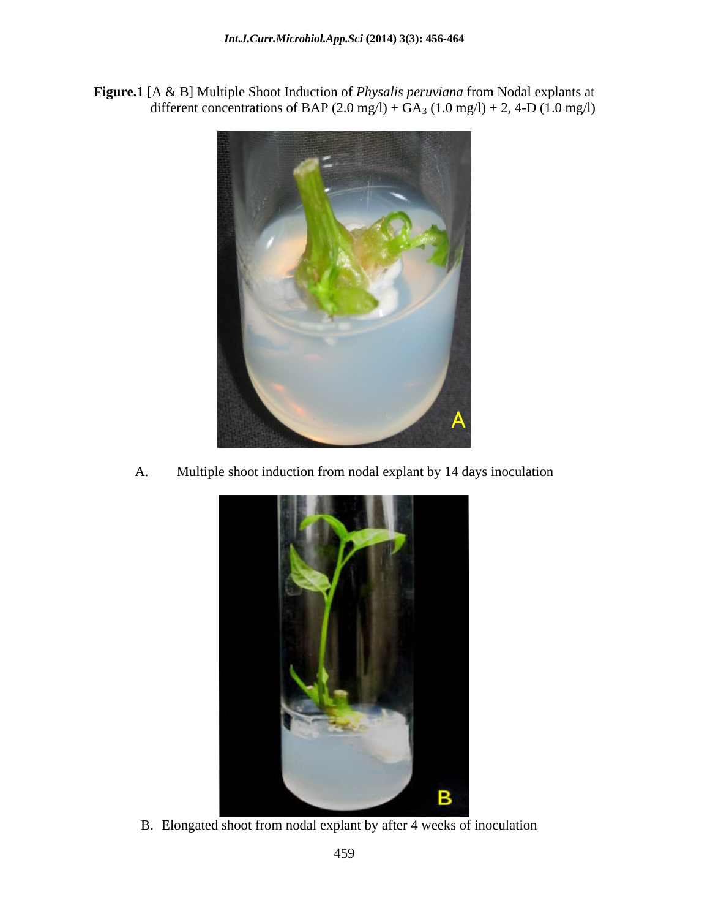**Figure.1** [A & B] Multiple Shoot Induction of *Physalis peruviana* from Nodal explants at different concentrations of BAP  $(2.0 \text{ mg/l}) + GA_3 (1.0 \text{ mg/l}) + 2$ , 4-D  $(1.0 \text{ mg/l})$ 



A. Multiple shoot induction from nodal explant by 14 days inoculation



B. Elongated shoot from nodal explant by after 4 weeks of inoculation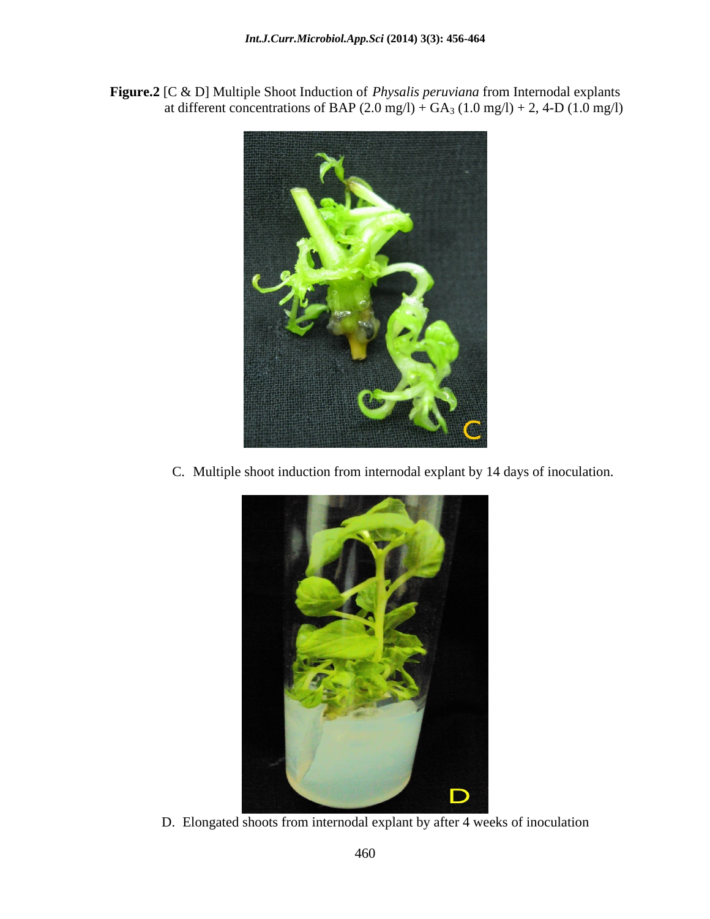**Figure.2** [C & D] Multiple Shoot Induction of *Physalis peruviana* from Internodal explants at different concentrations of BAP  $(2.0 \text{ mg/l}) + GA_3 (1.0 \text{ mg/l}) + 2$ , 4-D  $(1.0 \text{ mg/l})$ 



C. Multiple shoot induction from internodal explant by 14 days of inoculation.



D. Elongated shoots from internodal explant by after 4 weeks of inoculation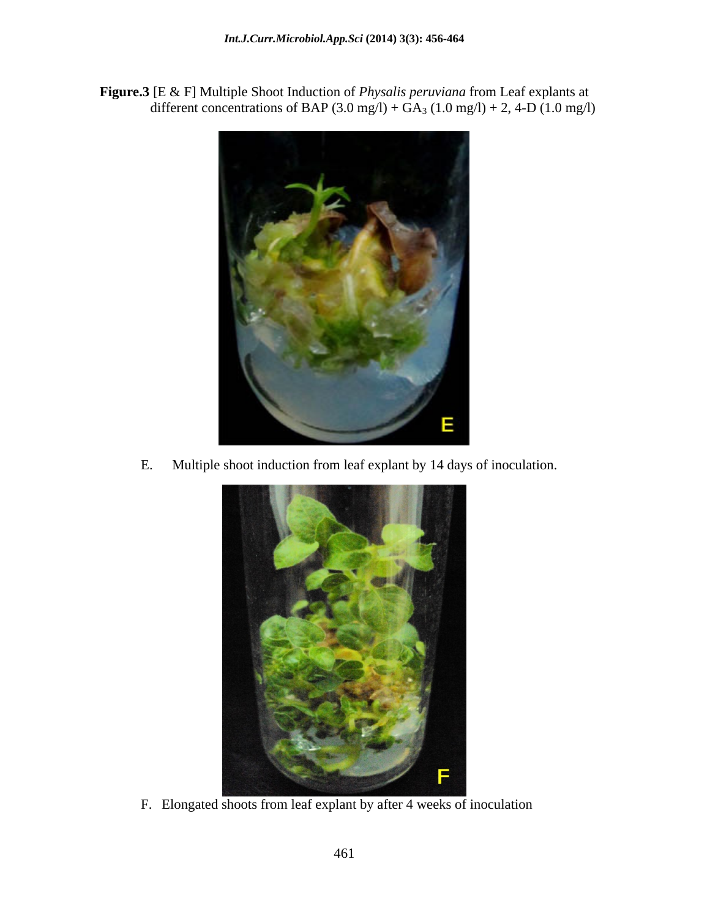**Figure.3** [E & F] Multiple Shoot Induction of *Physalis peruviana* from Leaf explants at different concentrations of BAP  $(3.0 \text{ mg/l}) + \text{GA}_3 (1.0 \text{ mg/l}) + 2$ , 4-D  $(1.0 \text{ mg/l})$ 



E. Multiple shoot induction from leaf explant by 14 days of inoculation.



F. Elongated shoots from leaf explant by after 4 weeks of inoculation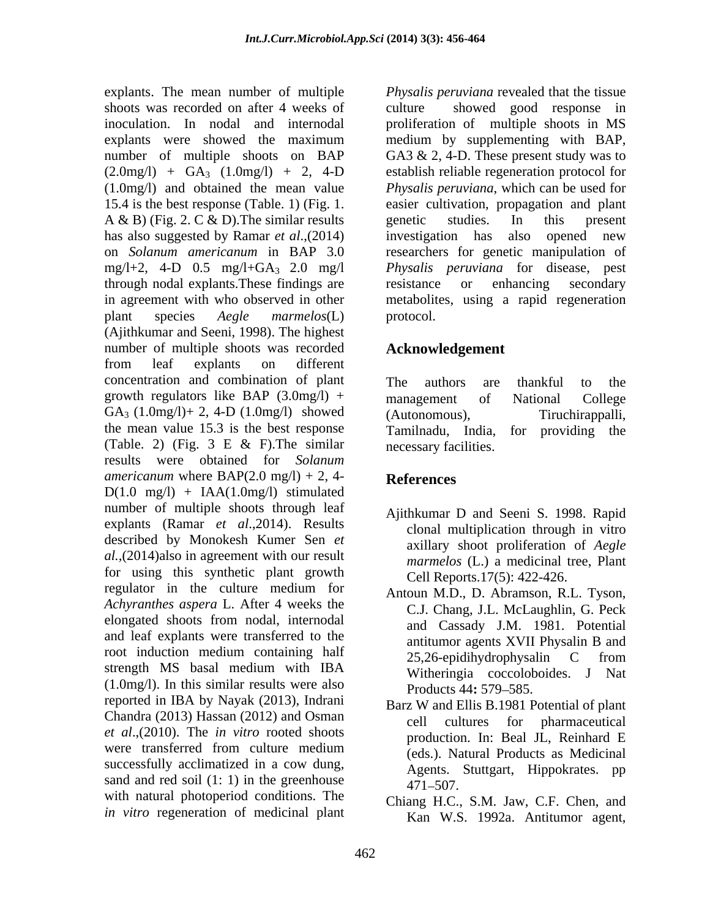shoots was recorded on after 4 weeks of inoculation. In nodal and internodal proliferation of multiple shoots in MS explants were showed the maximum medium by supplementing with BAP, number of multiple shoots on BAP GA3 & 2, 4-D. These present study was to  $(2.0 \text{mg/l})$  +  $GA_3$   $(1.0 \text{mg/l})$  + 2, 4-D<br> $(1.0 \text{mg/l})$  and obtained the mean value (1.0mg/l) and obtained the mean value *Physalis peruviana*, which can be used for 15.4 is the best response (Table. 1) (Fig. 1. easier cultivation, propagation and plant A & B) (Fig. 2. C & D). The similar results genetic studies. In this present has also suggested by Ramar *et al*.,(2014) on *Solanum americanum* in BAP 3.0 researchers for genetic manipulation of mg/l+2, 4-D 0.5 mg/l+GA3 2.0 mg/l *Physalis peruviana* for disease, pest through nodal explants.These findings are in agreement with who observed in other metabolites, using a rapid regeneration plant species *Aegle marmelos*(L) (Ajithkumar and Seeni, 1998). The highest number of multiple shoots was recorded from leaf explants on different concentration and combination of plant growth regulators like  $BAP$  (3.0mg/l) + management of National College  $GA_3$  (1.0mg/l)+ 2, 4-D (1.0mg/l) showed (Autonomous), Tiruchirappalli, the mean value 15.3 is the best response Tamilnadu, India, for providing the (Table. 2) (Fig. 3 E & F).The similar results were obtained for *Solanum americanum* where  $BAP(2.0 mg/l) + 2, 4$ - References  $D(1.0 \text{ mg/l}) + IAA(1.0 \text{ mg/l})$  stimulated number of multiple shoots through leaf explants (Ramar *et al.*, 2014). Results described by Monokesh Kumer Sen *et al.,*(2014)also in agreement with our result for using this synthetic plant growth regulator in the culture medium for *Achyranthes aspera* L. After 4 weeks the elongated shoots from nodal, internodal and leaf explants were transferred to the root induction medium containing half  $25.26$ -epidihydrophysalin C from strength MS basal medium with IBA  $(1.0 \text{mg/l})$ . In this similar results were also  $P_{\text{roducts}}$  44: 579–585. reported in IBA by Nayak (2013), Indrani Chandra (2013) Hassan (2012) and Osman cell cultures for pharmaceutical *et al*.,(2010). The *in vitro* rooted shoots were transferred from culture medium  $(\text{eds})$  Natural Products as Medicinal successfully acclimatized in a cow dung, sand and red soil  $(1: 1)$  in the greenhouse  $471-507$ . with natural photoperiod conditions. The *in vitro* regeneration of medicinal plant

explants. The mean number of multiple *Physalis peruviana* revealed that the tissue showed good response in medium by supplementing with BAP,<br>GA3 & 2, 4-D. These present study was to establish reliable regeneration protocol for genetic studies. In this present investigation has also opened new resistance or enhancing secondary protocol.

# **Acknowledgement**

The authors are thankful to the management of National College (Autonomous), Tiruchirappalli, Tamilnadu, India, for providing the necessary facilities.

# **References**

- Ajithkumar D and Seeni S. 1998. Rapid clonal multiplication through in vitro axillary shoot proliferation of *Aegle marmelos* (L.) a medicinal tree, Plant Cell Reports.17(5): 422-426.
- Antoun M.D., D. Abramson, R.L. Tyson, C.J. Chang, J.L. McLaughlin, G. Peck and Cassady J.M. 1981. Potential antitumor agents XVII Physalin B and 25,26-epidihydrophysalin C from Witheringia coccoloboides. J Nat Products 44: 579–585.
- Barz W and Ellis B.1981 Potential of plant cell cultures for pharmaceutical production. In: Beal JL, Reinhard E (eds.). Natural Products as Medicinal Agents. Stuttgart, Hippokrates. pp  $471 - 507.$
- Chiang H.C., S.M. Jaw, C.F. Chen, and Kan W.S. 1992a. Antitumor agent,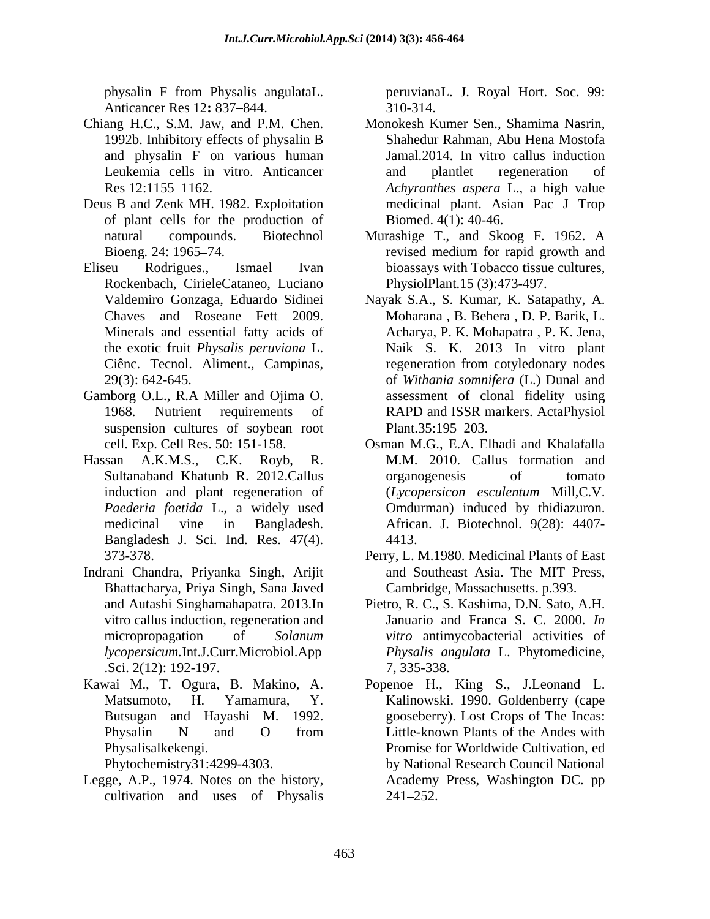physalin F from Physalis angulataL. peruvianaL. J. Royal Hort. Soc. 99:<br>Anticancer Res 12: 837–844. 310-314.

- 1992b. Inhibitory effects of physalin B and physalin F on various human
- Deus B and Zenk MH. 1982. Exploitation of plant cells for the production of
- Eliseu Rodrigues., Ismael Ivan bioassays with Tobacco tissue cultures, Rockenbach, CirieleCataneo, Luciano
- Gamborg O.L., R.A Miller and Ojima O. suspension cultures of soybean root Plant.35:195–203.
- Bangladesh J. Sci. Ind. Res. 47(4). 4413.<br>373-378. Perry, L. M.1980. Medicinal Plants of East
- Indrani Chandra, Priyanka Singh, Arijit Bhattacharya, Priya Singh, Sana Javed vitro callus induction, regeneration and .Sci. 2(12): 192-197.
- Kawai M., T. Ogura, B. Makino, A. Popenoe H., King S., J.Leonand L.
- Legge, A.P., 1974. Notes on the history, cultivation and uses of Physalis

peruvianaL. J. Royal Hort. Soc. 99: 310-314.

- Chiang H.C., S.M. Jaw, and P.M. Chen. Monokesh Kumer Sen., Shamima Nasrin, Leukemia cells in vitro. Anticancer and plantlet regeneration of Res 12:1155 1162. *Achyranthes aspera* L., a high value Shahedur Rahman, Abu Hena Mostofa Jamal.2014. In vitro callus induction and plantlet regeneration of medicinal plant. Asian Pac J Trop Biomed. 4(1): 40-46.
	- natural compounds. Biotechnol Murashige T., and Skoog F. 1962. A Bioeng. 24: 1965–74. revised medium for rapid growth and revised medium for rapid growth and PhysiolPlant.15 (3):473-497.
	- Valdemiro Gonzaga, Eduardo Sidinei Nayak S.A., S. Kumar, K. Satapathy, A. Chaves and Roseane Fett. 2009. Moharana , B. Behera , D. P. Barik, L. Minerals and essential fatty acids of Acharya, P. K. Mohapatra , P. K. Jena, the exotic fruit *Physalis peruviana* L. Naik S. K. 2013 In vitro plant Ciênc. Tecnol. Aliment., Campinas, enegeneration from cotyledonary nodes 29(3): 642-645. of *Withania somnifera* (L.) Dunal and 1968. Nutrient requirements of RAPD and ISSR markers. ActaPhysiol assessment of clonal fidelity using  $Plant.35:195-203.$
- cell. Exp. Cell Res. 50: 151-158. Osman M.G., E.A. Elhadi and Khalafalla Hassan A.K.M.S., C.K. Royb, R. M.M. 2010. Callus formation and Sultanaband Khatunb R. 2012.Callus induction and plant regeneration of (*Lycopersicon esculentum* Mill,C.V. *Paederia foetida* L., a widely used Omdurman) induced by thidiazuron. medicinal vine in Bangladesh. African. J. Biotechnol. 9(28): 4407 organogenesis of tomato 4413.
	- Perry, L. M.1980. Medicinal Plants of East and Southeast Asia. The MIT Press, Cambridge, Massachusetts. p.393.
	- and Autashi Singhamahapatra. 2013.In Pietro, R. C., S. Kashima, D.N. Sato, A.H. micropropagation of *Solanum vitro* antimycobacterial activities of *lycopersicum.*Int.J.Curr.Microbiol.App Januario and Franca S. C. 2000. *In Physalis angulata* L. Phytomedicine, 7, 335-338.
	- Matsumoto, H. Yamamura, Y. Kalinowski. 1990. Goldenberry (cape Butsugan and Hayashi M. 1992. gooseberry). Lost Crops of The Incas: Physalin N and O from Little-known Plants of the Andes with Physalisalkekengi. Phytochemistry31:4299-4303. by National Research Council National Little-known Plants of the Andes with Promise for Worldwide Cultivation, ed Academy Press, Washington DC. pp 241 252.